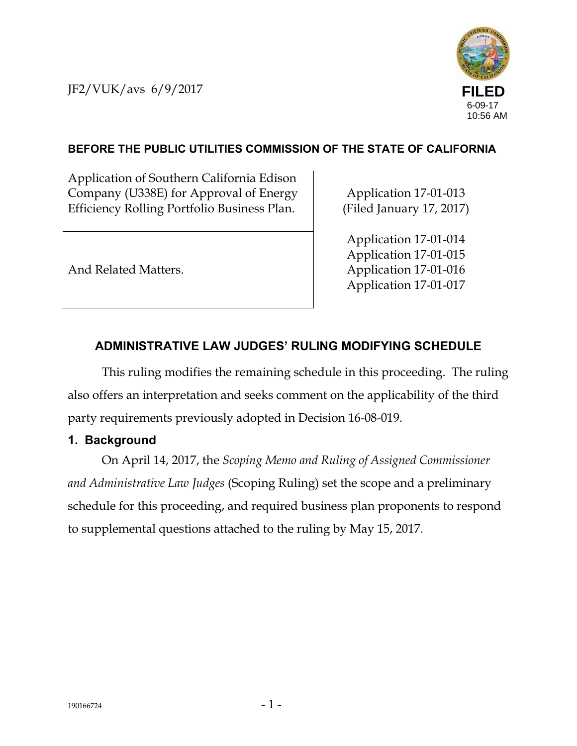JF2/VUK/avs 6/9/2017



# **BEFORE THE PUBLIC UTILITIES COMMISSION OF THE STATE OF CALIFORNIA**

Application of Southern California Edison Company (U338E) for Approval of Energy Efficiency Rolling Portfolio Business Plan.

Application 17-01-013 (Filed January 17, 2017)

And Related Matters.

Application 17-01-014 Application 17-01-015 Application 17-01-016 Application 17-01-017

# **ADMINISTRATIVE LAW JUDGES' RULING MODIFYING SCHEDULE**

This ruling modifies the remaining schedule in this proceeding. The ruling also offers an interpretation and seeks comment on the applicability of the third party requirements previously adopted in Decision 16-08-019.

## **1. Background**

On April 14, 2017, the *Scoping Memo and Ruling of Assigned Commissioner and Administrative Law Judges* (Scoping Ruling) set the scope and a preliminary schedule for this proceeding, and required business plan proponents to respond to supplemental questions attached to the ruling by May 15, 2017.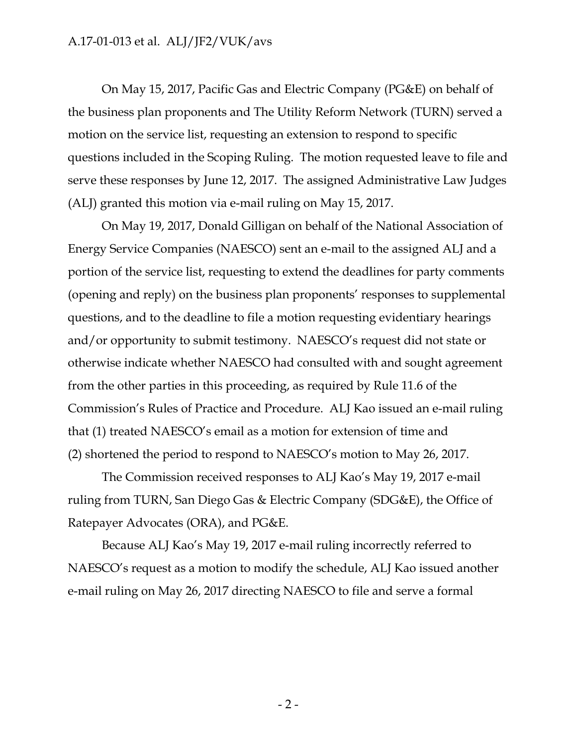On May 15, 2017, Pacific Gas and Electric Company (PG&E) on behalf of the business plan proponents and The Utility Reform Network (TURN) served a motion on the service list, requesting an extension to respond to specific questions included in the Scoping Ruling. The motion requested leave to file and serve these responses by June 12, 2017. The assigned Administrative Law Judges (ALJ) granted this motion via e-mail ruling on May 15, 2017.

On May 19, 2017, Donald Gilligan on behalf of the National Association of Energy Service Companies (NAESCO) sent an e-mail to the assigned ALJ and a portion of the service list, requesting to extend the deadlines for party comments (opening and reply) on the business plan proponents' responses to supplemental questions, and to the deadline to file a motion requesting evidentiary hearings and/or opportunity to submit testimony. NAESCO's request did not state or otherwise indicate whether NAESCO had consulted with and sought agreement from the other parties in this proceeding, as required by Rule 11.6 of the Commission's Rules of Practice and Procedure. ALJ Kao issued an e-mail ruling that (1) treated NAESCO's email as a motion for extension of time and (2) shortened the period to respond to NAESCO's motion to May 26, 2017.

The Commission received responses to ALJ Kao's May 19, 2017 e-mail ruling from TURN, San Diego Gas & Electric Company (SDG&E), the Office of Ratepayer Advocates (ORA), and PG&E.

Because ALJ Kao's May 19, 2017 e-mail ruling incorrectly referred to NAESCO's request as a motion to modify the schedule, ALJ Kao issued another e-mail ruling on May 26, 2017 directing NAESCO to file and serve a formal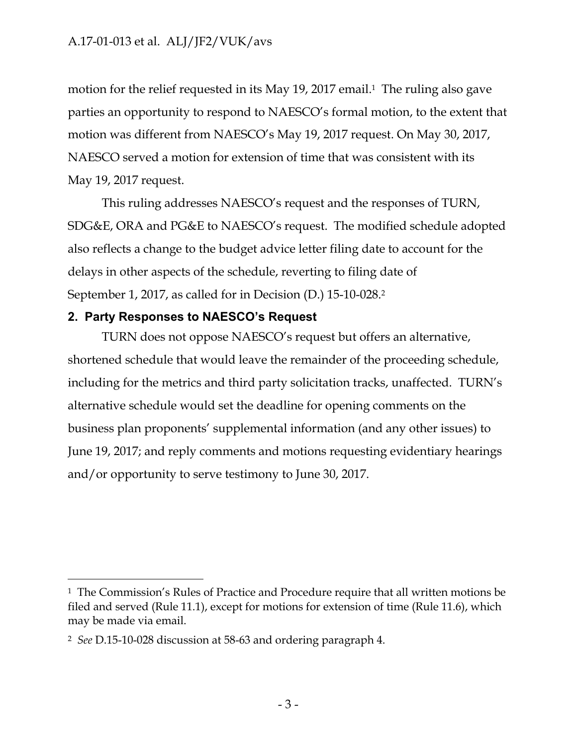motion for the relief requested in its May 19, 2017 email.<sup>1</sup> The ruling also gave parties an opportunity to respond to NAESCO's formal motion, to the extent that motion was different from NAESCO's May 19, 2017 request. On May 30, 2017, NAESCO served a motion for extension of time that was consistent with its May 19, 2017 request.

This ruling addresses NAESCO's request and the responses of TURN, SDG&E, ORA and PG&E to NAESCO's request. The modified schedule adopted also reflects a change to the budget advice letter filing date to account for the delays in other aspects of the schedule, reverting to filing date of September 1, 2017, as called for in Decision (D.) 15-10-028.2

#### **2. Party Responses to NAESCO's Request**

TURN does not oppose NAESCO's request but offers an alternative, shortened schedule that would leave the remainder of the proceeding schedule, including for the metrics and third party solicitation tracks, unaffected. TURN's alternative schedule would set the deadline for opening comments on the business plan proponents' supplemental information (and any other issues) to June 19, 2017; and reply comments and motions requesting evidentiary hearings and/or opportunity to serve testimony to June 30, 2017.

 $\overline{a}$ 

<sup>1</sup> The Commission's Rules of Practice and Procedure require that all written motions be filed and served (Rule 11.1), except for motions for extension of time (Rule 11.6), which may be made via email.

<sup>2</sup> *See* D.15-10-028 discussion at 58-63 and ordering paragraph 4.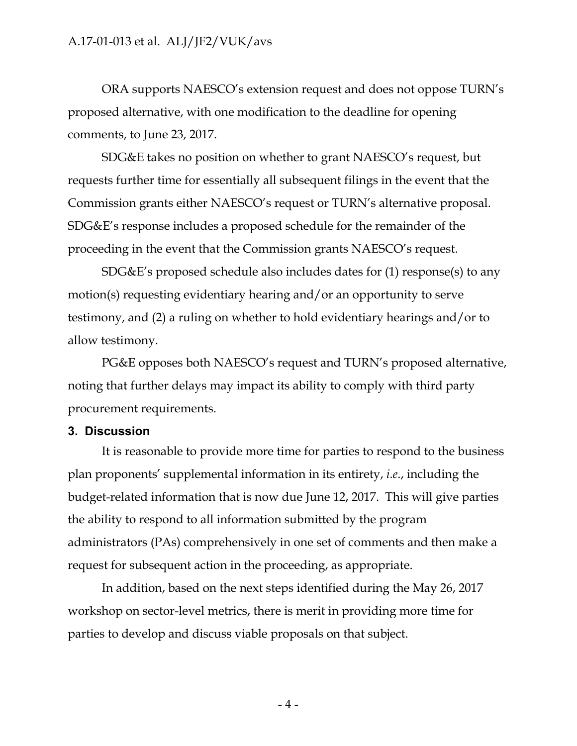ORA supports NAESCO's extension request and does not oppose TURN's proposed alternative, with one modification to the deadline for opening comments, to June 23, 2017.

SDG&E takes no position on whether to grant NAESCO's request, but requests further time for essentially all subsequent filings in the event that the Commission grants either NAESCO's request or TURN's alternative proposal. SDG&E's response includes a proposed schedule for the remainder of the proceeding in the event that the Commission grants NAESCO's request.

SDG&E's proposed schedule also includes dates for (1) response(s) to any motion(s) requesting evidentiary hearing and/or an opportunity to serve testimony, and (2) a ruling on whether to hold evidentiary hearings and/or to allow testimony.

PG&E opposes both NAESCO's request and TURN's proposed alternative, noting that further delays may impact its ability to comply with third party procurement requirements.

#### **3. Discussion**

It is reasonable to provide more time for parties to respond to the business plan proponents' supplemental information in its entirety, *i.e*., including the budget-related information that is now due June 12, 2017. This will give parties the ability to respond to all information submitted by the program administrators (PAs) comprehensively in one set of comments and then make a request for subsequent action in the proceeding, as appropriate.

In addition, based on the next steps identified during the May 26, 2017 workshop on sector-level metrics, there is merit in providing more time for parties to develop and discuss viable proposals on that subject.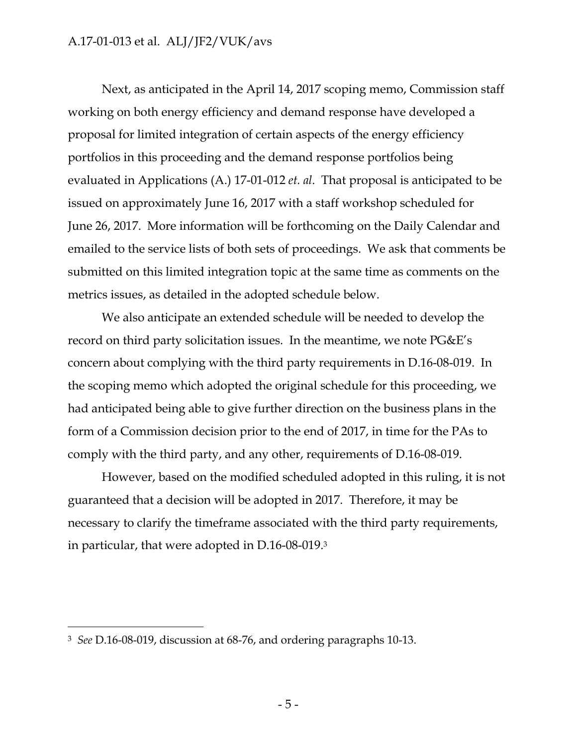Next, as anticipated in the April 14, 2017 scoping memo, Commission staff working on both energy efficiency and demand response have developed a proposal for limited integration of certain aspects of the energy efficiency portfolios in this proceeding and the demand response portfolios being evaluated in Applications (A.) 17-01-012 *et. al*. That proposal is anticipated to be issued on approximately June 16, 2017 with a staff workshop scheduled for June 26, 2017. More information will be forthcoming on the Daily Calendar and emailed to the service lists of both sets of proceedings. We ask that comments be submitted on this limited integration topic at the same time as comments on the metrics issues, as detailed in the adopted schedule below.

We also anticipate an extended schedule will be needed to develop the record on third party solicitation issues. In the meantime, we note PG&E's concern about complying with the third party requirements in D.16-08-019. In the scoping memo which adopted the original schedule for this proceeding, we had anticipated being able to give further direction on the business plans in the form of a Commission decision prior to the end of 2017, in time for the PAs to comply with the third party, and any other, requirements of D.16-08-019.

However, based on the modified scheduled adopted in this ruling, it is not guaranteed that a decision will be adopted in 2017. Therefore, it may be necessary to clarify the timeframe associated with the third party requirements, in particular, that were adopted in D.16-08-019.3

-

<sup>3</sup> *See* D.16-08-019, discussion at 68-76, and ordering paragraphs 10-13.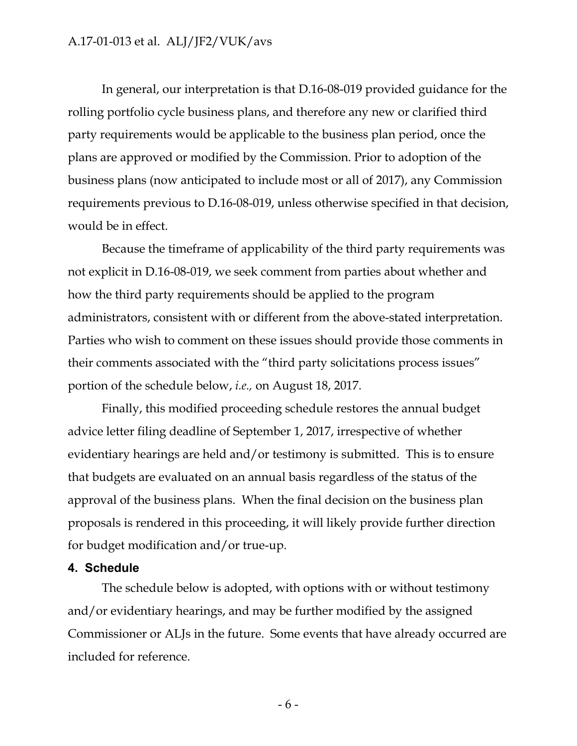In general, our interpretation is that D.16-08-019 provided guidance for the rolling portfolio cycle business plans, and therefore any new or clarified third party requirements would be applicable to the business plan period, once the plans are approved or modified by the Commission. Prior to adoption of the business plans (now anticipated to include most or all of 2017), any Commission requirements previous to D.16-08-019, unless otherwise specified in that decision, would be in effect.

Because the timeframe of applicability of the third party requirements was not explicit in D.16-08-019, we seek comment from parties about whether and how the third party requirements should be applied to the program administrators, consistent with or different from the above-stated interpretation. Parties who wish to comment on these issues should provide those comments in their comments associated with the "third party solicitations process issues" portion of the schedule below, *i.e.,* on August 18, 2017.

Finally, this modified proceeding schedule restores the annual budget advice letter filing deadline of September 1, 2017, irrespective of whether evidentiary hearings are held and/or testimony is submitted. This is to ensure that budgets are evaluated on an annual basis regardless of the status of the approval of the business plans. When the final decision on the business plan proposals is rendered in this proceeding, it will likely provide further direction for budget modification and/or true-up.

#### **4. Schedule**

The schedule below is adopted, with options with or without testimony and/or evidentiary hearings, and may be further modified by the assigned Commissioner or ALJs in the future. Some events that have already occurred are included for reference.

- 6 -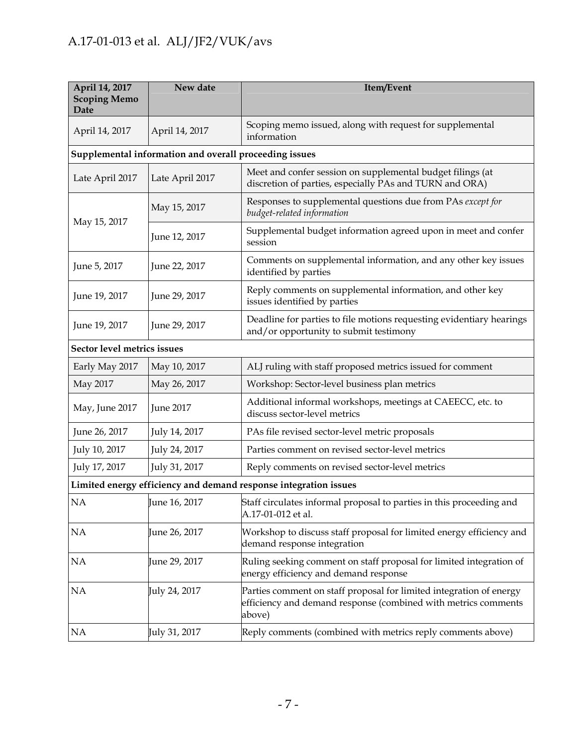| April 14, 2017<br><b>Scoping Memo</b><br>Date                    | New date        | Item/Event                                                                                                                                      |  |  |  |
|------------------------------------------------------------------|-----------------|-------------------------------------------------------------------------------------------------------------------------------------------------|--|--|--|
| April 14, 2017                                                   | April 14, 2017  | Scoping memo issued, along with request for supplemental<br>information                                                                         |  |  |  |
| Supplemental information and overall proceeding issues           |                 |                                                                                                                                                 |  |  |  |
| Late April 2017                                                  | Late April 2017 | Meet and confer session on supplemental budget filings (at<br>discretion of parties, especially PAs and TURN and ORA)                           |  |  |  |
| May 15, 2017                                                     | May 15, 2017    | Responses to supplemental questions due from PAs except for<br>budget-related information                                                       |  |  |  |
|                                                                  | June 12, 2017   | Supplemental budget information agreed upon in meet and confer<br>session                                                                       |  |  |  |
| June 5, 2017                                                     | June 22, 2017   | Comments on supplemental information, and any other key issues<br>identified by parties                                                         |  |  |  |
| June 19, 2017                                                    | June 29, 2017   | Reply comments on supplemental information, and other key<br>issues identified by parties                                                       |  |  |  |
| June 19, 2017                                                    | June 29, 2017   | Deadline for parties to file motions requesting evidentiary hearings<br>and/or opportunity to submit testimony                                  |  |  |  |
| Sector level metrics issues                                      |                 |                                                                                                                                                 |  |  |  |
| Early May 2017                                                   | May 10, 2017    | ALJ ruling with staff proposed metrics issued for comment                                                                                       |  |  |  |
| May 2017                                                         | May 26, 2017    | Workshop: Sector-level business plan metrics                                                                                                    |  |  |  |
| May, June 2017                                                   | June 2017       | Additional informal workshops, meetings at CAEECC, etc. to<br>discuss sector-level metrics                                                      |  |  |  |
| June 26, 2017                                                    | July 14, 2017   | PAs file revised sector-level metric proposals                                                                                                  |  |  |  |
| July 10, 2017                                                    | July 24, 2017   | Parties comment on revised sector-level metrics                                                                                                 |  |  |  |
| July 17, 2017                                                    | July 31, 2017   | Reply comments on revised sector-level metrics                                                                                                  |  |  |  |
| Limited energy efficiency and demand response integration issues |                 |                                                                                                                                                 |  |  |  |
| NΑ                                                               | June 16, 2017   | Staff circulates informal proposal to parties in this proceeding and<br>A.17-01-012 et al.                                                      |  |  |  |
| <b>NA</b>                                                        | June 26, 2017   | Workshop to discuss staff proposal for limited energy efficiency and<br>demand response integration                                             |  |  |  |
| <b>NA</b>                                                        | June 29, 2017   | Ruling seeking comment on staff proposal for limited integration of<br>energy efficiency and demand response                                    |  |  |  |
| NA                                                               | July 24, 2017   | Parties comment on staff proposal for limited integration of energy<br>efficiency and demand response (combined with metrics comments<br>above) |  |  |  |
| NA                                                               | July 31, 2017   | Reply comments (combined with metrics reply comments above)                                                                                     |  |  |  |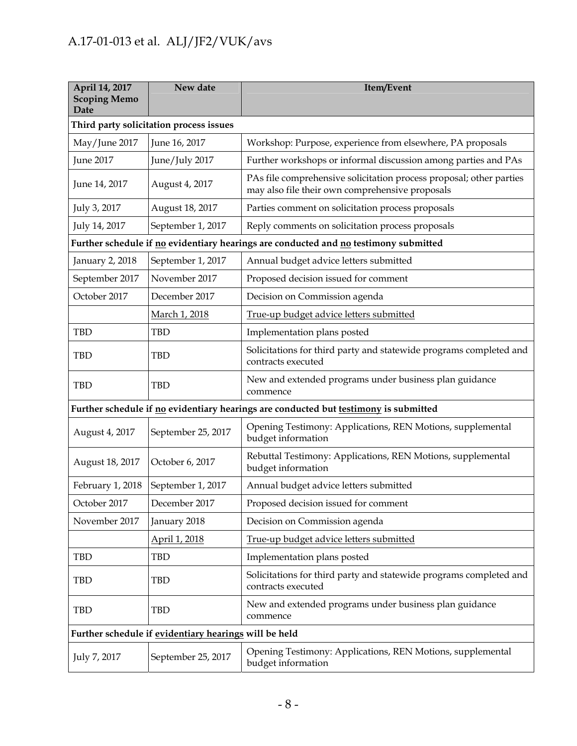| April 14, 2017<br><b>Scoping Memo</b><br>Date                                        | New date           | Item/Event                                                                                                             |  |  |
|--------------------------------------------------------------------------------------|--------------------|------------------------------------------------------------------------------------------------------------------------|--|--|
| Third party solicitation process issues                                              |                    |                                                                                                                        |  |  |
| May/June 2017                                                                        | June 16, 2017      | Workshop: Purpose, experience from elsewhere, PA proposals                                                             |  |  |
| <b>June 2017</b>                                                                     | June/July 2017     | Further workshops or informal discussion among parties and PAs                                                         |  |  |
| June 14, 2017                                                                        | August 4, 2017     | PAs file comprehensive solicitation process proposal; other parties<br>may also file their own comprehensive proposals |  |  |
| July 3, 2017                                                                         | August 18, 2017    | Parties comment on solicitation process proposals                                                                      |  |  |
| July 14, 2017                                                                        | September 1, 2017  | Reply comments on solicitation process proposals                                                                       |  |  |
| Further schedule if no evidentiary hearings are conducted and no testimony submitted |                    |                                                                                                                        |  |  |
| January 2, 2018                                                                      | September 1, 2017  | Annual budget advice letters submitted                                                                                 |  |  |
| September 2017                                                                       | November 2017      | Proposed decision issued for comment                                                                                   |  |  |
| October 2017                                                                         | December 2017      | Decision on Commission agenda                                                                                          |  |  |
|                                                                                      | March 1, 2018      | True-up budget advice letters submitted                                                                                |  |  |
| <b>TBD</b>                                                                           | <b>TBD</b>         | Implementation plans posted                                                                                            |  |  |
| <b>TBD</b>                                                                           | <b>TBD</b>         | Solicitations for third party and statewide programs completed and<br>contracts executed                               |  |  |
| <b>TBD</b>                                                                           | <b>TBD</b>         | New and extended programs under business plan guidance<br>commence                                                     |  |  |
| Further schedule if no evidentiary hearings are conducted but testimony is submitted |                    |                                                                                                                        |  |  |
| August 4, 2017                                                                       | September 25, 2017 | Opening Testimony: Applications, REN Motions, supplemental<br>budget information                                       |  |  |
| August 18, 2017                                                                      | October 6, 2017    | Rebuttal Testimony: Applications, REN Motions, supplemental<br>budget information                                      |  |  |
| February 1, 2018                                                                     | September 1, 2017  | Annual budget advice letters submitted                                                                                 |  |  |
| October 2017                                                                         | December 2017      | Proposed decision issued for comment                                                                                   |  |  |
| November 2017                                                                        | January 2018       | Decision on Commission agenda                                                                                          |  |  |
|                                                                                      | April 1, 2018      | True-up budget advice letters submitted                                                                                |  |  |
| <b>TBD</b>                                                                           | <b>TBD</b>         | Implementation plans posted                                                                                            |  |  |
| <b>TBD</b>                                                                           | <b>TBD</b>         | Solicitations for third party and statewide programs completed and<br>contracts executed                               |  |  |
| <b>TBD</b>                                                                           | <b>TBD</b>         | New and extended programs under business plan guidance<br>commence                                                     |  |  |
| Further schedule if evidentiary hearings will be held                                |                    |                                                                                                                        |  |  |
| July 7, 2017                                                                         | September 25, 2017 | Opening Testimony: Applications, REN Motions, supplemental<br>budget information                                       |  |  |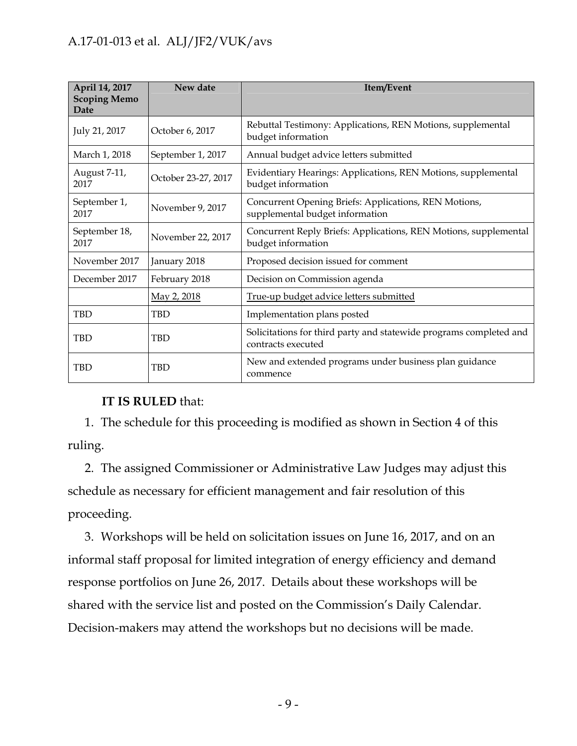| April 14, 2017<br><b>Scoping Memo</b><br>Date | New date            | Item/Event                                                                               |
|-----------------------------------------------|---------------------|------------------------------------------------------------------------------------------|
| July 21, 2017                                 | October 6, 2017     | Rebuttal Testimony: Applications, REN Motions, supplemental<br>budget information        |
| March 1, 2018                                 | September 1, 2017   | Annual budget advice letters submitted                                                   |
| August 7-11,<br>2017                          | October 23-27, 2017 | Evidentiary Hearings: Applications, REN Motions, supplemental<br>budget information      |
| September 1,<br>2017                          | November 9, 2017    | Concurrent Opening Briefs: Applications, REN Motions,<br>supplemental budget information |
| September 18,<br>2017                         | November 22, 2017   | Concurrent Reply Briefs: Applications, REN Motions, supplemental<br>budget information   |
| November 2017                                 | January 2018        | Proposed decision issued for comment                                                     |
| December 2017                                 | February 2018       | Decision on Commission agenda                                                            |
|                                               | May 2, 2018         | True-up budget advice letters submitted                                                  |
| <b>TBD</b>                                    | <b>TBD</b>          | Implementation plans posted                                                              |
| <b>TBD</b>                                    | <b>TBD</b>          | Solicitations for third party and statewide programs completed and<br>contracts executed |
| <b>TBD</b>                                    | <b>TBD</b>          | New and extended programs under business plan guidance<br>commence                       |

## **IT IS RULED** that:

1. The schedule for this proceeding is modified as shown in Section 4 of this ruling.

2. The assigned Commissioner or Administrative Law Judges may adjust this schedule as necessary for efficient management and fair resolution of this proceeding.

3. Workshops will be held on solicitation issues on June 16, 2017, and on an informal staff proposal for limited integration of energy efficiency and demand response portfolios on June 26, 2017. Details about these workshops will be shared with the service list and posted on the Commission's Daily Calendar. Decision-makers may attend the workshops but no decisions will be made.